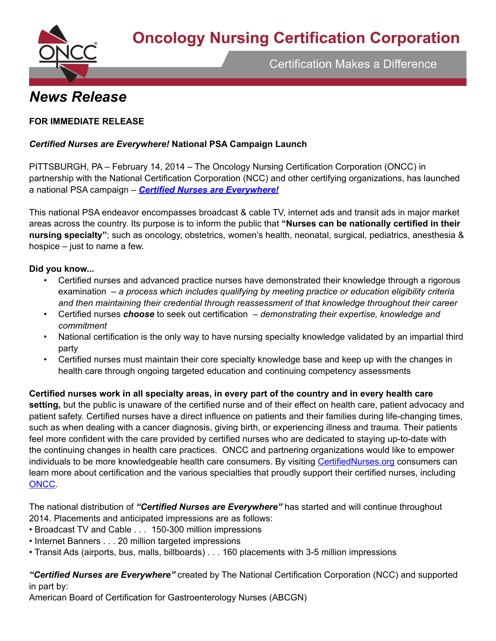**Oncology Nursing Certification Corporation** 



**Certification Makes a Difference** 

## *News Release*

## **FOR IMMEDIATE RELEASE**

## *Certified Nurses are Everywhere!* **National PSA Campaign Launch**

PITTSBURGH, PA – February 14, 2014 – The Oncology Nursing Certification Corporation (ONCC) in partnership with the National Certification Corporation (NCC) and other certifying organizations, has launched a national PSA campaign – *[Certified Nurses are Everywhere!](http://certifiednurses.org/)*

This national PSA endeavor encompasses broadcast & cable TV, internet ads and transit ads in major market areas across the country. Its purpose is to inform the public that **"Nurses can be nationally certified in their nursing specialty"**; such as oncology, obstetrics, women's health, neonatal, surgical, pediatrics, anesthesia & hospice – just to name a few.

## **Did you know...**

- Certified nurses and advanced practice nurses have demonstrated their knowledge through a rigorous examination – *a process which includes qualifying by meeting practice or education eligibility criteria and then maintaining their credential through reassessment of that knowledge throughout their career*
- Certified nurses *choose* to seek out certification *demonstrating their expertise, knowledge and commitment*
- National certification is the only way to have nursing specialty knowledge validated by an impartial third party
- Certified nurses must maintain their core specialty knowledge base and keep up with the changes in health care through ongoing targeted education and continuing competency assessments

**Certified nurses work in all specialty areas, in every part of the country and in every health care setting,** but the public is unaware of the certified nurse and of their effect on health care, patient advocacy and patient safety. Certified nurses have a direct influence on patients and their families during life-changing times, such as when dealing with a cancer diagnosis, giving birth, or experiencing illness and trauma. Their patients feel more confident with the care provided by certified nurses who are dedicated to staying up-to-date with the continuing changes in health care practices. ONCC and partnering organizations would like to empower individuals to be more knowledgeable health care consumers. By visiting [CertifiedNurses.org](http://CertifiedNurses.org) consumers can learn more about certification and the various specialties that proudly support their certified nurses, including [ONCC](http://certifiednurses.org/index.cfm?s=7).

The national distribution of *"Certified Nurses are Everywhere"* has started and will continue throughout 2014. Placements and anticipated impressions are as follows:

- Broadcast TV and Cable . . . 150-300 million impressions
- Internet Banners . . . 20 million targeted impressions
- Transit Ads (airports, bus, malls, billboards) . . . 160 placements with 3-5 million impressions

*"Certified Nurses are Everywhere"* created by The National Certification Corporation (NCC) and supported in part by:

American Board of Certification for Gastroenterology Nurses (ABCGN)